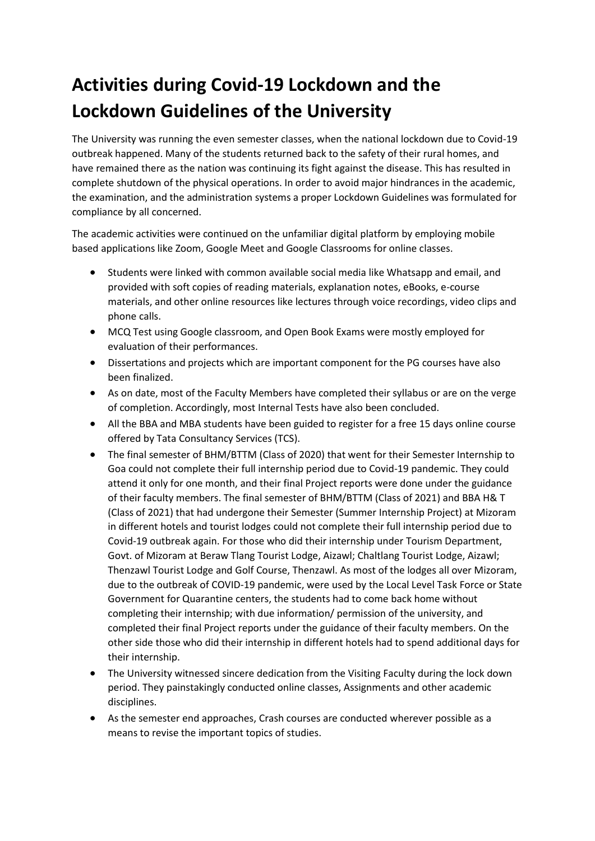## **Activities during Covid-19 Lockdown and the Lockdown Guidelines of the University**

The University was running the even semester classes, when the national lockdown due to Covid-19 outbreak happened. Many of the students returned back to the safety of their rural homes, and have remained there as the nation was continuing its fight against the disease. This has resulted in complete shutdown of the physical operations. In order to avoid major hindrances in the academic, the examination, and the administration systems a proper Lockdown Guidelines was formulated for compliance by all concerned.

The academic activities were continued on the unfamiliar digital platform by employing mobile based applications like Zoom, Google Meet and Google Classrooms for online classes.

- Students were linked with common available social media like Whatsapp and email, and provided with soft copies of reading materials, explanation notes, eBooks, e-course materials, and other online resources like lectures through voice recordings, video clips and phone calls.
- MCQ Test using Google classroom, and Open Book Exams were mostly employed for evaluation of their performances.
- Dissertations and projects which are important component for the PG courses have also been finalized.
- As on date, most of the Faculty Members have completed their syllabus or are on the verge of completion. Accordingly, most Internal Tests have also been concluded.
- All the BBA and MBA students have been guided to register for a free 15 days online course offered by Tata Consultancy Services (TCS).
- The final semester of BHM/BTTM (Class of 2020) that went for their Semester Internship to Goa could not complete their full internship period due to Covid-19 pandemic. They could attend it only for one month, and their final Project reports were done under the guidance of their faculty members. The final semester of BHM/BTTM (Class of 2021) and BBA H& T (Class of 2021) that had undergone their Semester (Summer Internship Project) at Mizoram in different hotels and tourist lodges could not complete their full internship period due to Covid-19 outbreak again. For those who did their internship under Tourism Department, Govt. of Mizoram at Beraw Tlang Tourist Lodge, Aizawl; Chaltlang Tourist Lodge, Aizawl; Thenzawl Tourist Lodge and Golf Course, Thenzawl. As most of the lodges all over Mizoram, due to the outbreak of COVID-19 pandemic, were used by the Local Level Task Force or State Government for Quarantine centers, the students had to come back home without completing their internship; with due information/ permission of the university, and completed their final Project reports under the guidance of their faculty members. On the other side those who did their internship in different hotels had to spend additional days for their internship.
- The University witnessed sincere dedication from the Visiting Faculty during the lock down period. They painstakingly conducted online classes, Assignments and other academic disciplines.
- As the semester end approaches, Crash courses are conducted wherever possible as a means to revise the important topics of studies.